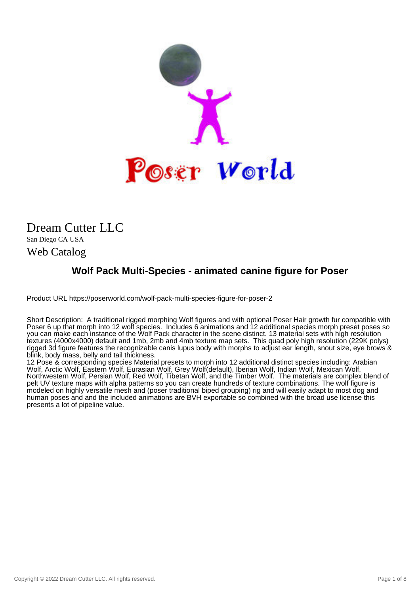

## Dream Cutter LLC San Diego CA USA

## Web Catalog

## **Wolf Pack Multi-Species - animated canine figure for Poser**

Product URL https://poserworld.com/wolf-pack-multi-species-figure-for-poser-2

Short Description: A traditional rigged morphing Wolf figures and with optional Poser Hair growth fur compatible with Poser 6 up that morph into 12 wolf species. Includes 6 animations and 12 additional species morph preset poses so you can make each instance of the Wolf Pack character in the scene distinct. 13 material sets with high resolution textures (4000x4000) default and 1mb, 2mb and 4mb texture map sets. This quad poly high resolution (229K polys) rigged 3d figure features the recognizable canis lupus body with morphs to adjust ear length, snout size, eye brows & blink, body mass, belly and tail thickness.

12 Pose & corresponding species Material presets to morph into 12 additional distinct species including: Arabian Wolf, Arctic Wolf, Eastern Wolf, Eurasian Wolf, Grey Wolf(default), Iberian Wolf, Indian Wolf, Mexican Wolf, Northwestern Wolf, Persian Wolf, Red Wolf, Tibetan Wolf, and the Timber Wolf. The materials are complex blend of pelt UV texture maps with alpha patterns so you can create hundreds of texture combinations. The wolf figure is modeled on highly versatile mesh and (poser traditional biped grouping) rig and will easily adapt to most dog and human poses and and the included animations are BVH exportable so combined with the broad use license this presents a lot of pipeline value.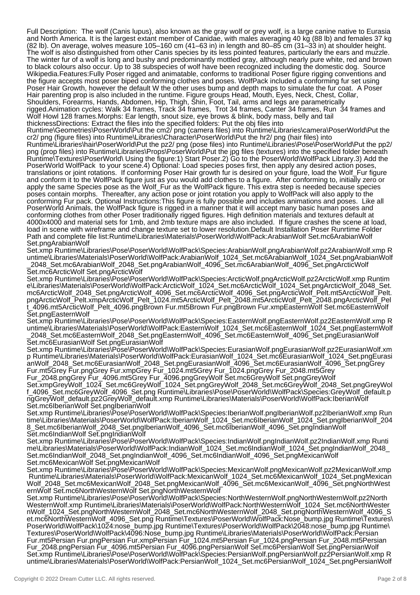Full Description: The wolf (Canis lupus), also known as the gray wolf or grey wolf, is a large canine native to Eurasia and North America. It is the largest extant member of Canidae, with males averaging 40 kg (88 lb) and females 37 kg (82 lb). On average, wolves measure 105–160 cm (41–63 in) in length and 80–85 cm (31–33 in) at shoulder height. The wolf is also distinguished from other Canis species by its less pointed features, particularly the ears and muzzle. The winter fur of a wolf is long and bushy and predominantly mottled gray, although nearly pure white, red and brown to black colours also occur. Up to 38 subspecies of wolf have been recognized including the domestic dog. Source Wikipedia.Features:Fully Poser rigged and animatable, conforms to traditional Poser figure rigging conventions and the figure accepts most poser biped conforming clothes and poses. WolfPack included a conforming fur set using Poser Hair Growth, however the default W the other uses bump and depth maps to simulate the fur coat. A Poser Hair parenting prop is also included in the runtime. Figure groups Head, Mouth, Eyes, Neck, Chest, Collar, Shoulders, Forearms, Hands, Abdomen, Hip, Thigh, Shin, Foot, Tail, arms and legs are parametrically rigged.Animation cycles: Walk 34 frames, Track 34 frames, Trot 34 frames, Canter 34 frames, Run 34 frames and Wolf Howl 128 frames.Morphs: Ear length, snout size, eye brows & blink, body mass, belly and tail thicknessDirections: Extract the files into the specified folders: Put the obj files into

Runtime\Geometries\PoserWorld\Put the cm2/ png (camera files) into Runtime\Libraries\camera\PoserWorld\Put the cr2/ png (figure files) into Runtime\Libraries\Character\PoserWorld\Put the hr2/ png (hair files) into Runtime\Libraries\hair\PoserWorld\Put the pz2/ png (pose files) into Runtime\Libraries\Pose\PoserWorld\Put the pp2/ png (prop files) into Runtime\Libraries\Props\PoserWorld\Put the jpg files (textures) into the specified folder beneath Runtime\Textures\PoserWorld\ Using the figure:1) Start Poser.2) Go to the PoserWorld\WolfPack Library.3) Add the PoserWorld WolfPack to your scene.4) Optional: Load species poses first, then apply any desired action poses, translations or joint rotations. If conforming Poser Hair growth fur is desired on your figure, load the Wolf\_Fur figure and conform it to the WolfPack figure just as you would add clothes to a figure. After conforming to, initially zero or apply the same Species pose as the Wolf\_Fur as the WolfPack figure. This extra step is needed because species poses contain morphs. Thereafter, any action pose or joint rotation you apply to WolfPack will also apply to the conforming Fur pack. Optional Instructions:This figure is fully possible and includes animations and poses. Like all PoserWorld Animals, the WolfPack figure is rigged in a manner that it will accept many basic human poses and conforming clothes from other Poser traditionally rigged figures. High definition materials and textures default at 4000x4000 and material sets for 1mb, and 2mb texture maps are also included. If figure crashes the scene at load, load in scene with wireframe and change texture set to lower resolution.Default Installation Poser Runrtime Folder Path and complete file list:Runtime\Libraries\Materials\PoserWorld\WolfPack:ArabianWolf Set.mc6ArabianWolf Set.pngArabianWolf

Set.xmp Runtime\Libraries\Pose\PoserWorld\WolfPack\Species:ArabianWolf.pngArabianWolf.pz2ArabianWolf.xmp R untime\Libraries\Materials\PoserWorld\WolfPack:ArabianWolf\_1024\_Set.mc6ArabianWolf\_1024\_Set.pngArabianWolf \_2048\_Set.mc6ArabianWolf\_2048\_Set.pngArabianWolf\_4096\_Set.mc6ArabianWolf\_4096\_Set.pngArcticWolf Set.mc6ArcticWolf Set.pngArcticWolf

Set.xmp Runtime\Libraries\Pose\PoserWorld\WolfPack\Species:ArcticWolf.pngArcticWolf.pz2ArcticWolf.xmp Runtim e\Libraries\Materials\PoserWorld\WolfPack:ArcticWolf\_1024\_Set.mc6ArcticWolf\_1024\_Set.pngArcticWolf\_2048\_Set. mc6ArcticWolf\_2048\_Set.pngArcticWolf\_4096\_Set.mc6ArcticWolf\_4096\_Set.pngArcticWolf\_Pelt.mt5ArcticWolf\_Pelt. pngArcticWolf\_Pelt.xmpArcticWolf\_Pelt\_1024.mt5ArcticWolf\_Pelt\_2048.mt5ArcticWolf\_Pelt\_2048.pngArcticWolf\_Pel t\_4096.mt5ArcticWolf\_Pelt\_4096.pngBrown Fur.mt5Brown Fur.pngBrown Fur.xmpEasternWolf Set.mc6EasternWolf Set.pngEasternWolf

Set.xmp Runtime\Libraries\Pose\PoserWorld\WolfPack\Species:EasternWolf.pngEasternWolf.pz2EasternWolf.xmp R untime\Libraries\Materials\PoserWorld\WolfPack:EasternWolf\_1024\_Set.mc6EasternWolf\_1024\_Set.pngEasternWolf \_2048\_Set.mc6EasternWolf\_2048\_Set.pngEasternWolf\_4096\_Set.mc6EasternWolf\_4096\_Set.pngEurasianWolf Set.mc6EurasianWolf Set.pngEurasianWolf

Set.xmp Runtime\Libraries\Pose\PoserWorld\WolfPack\Species:EurasianWolf.pngEurasianWolf.pz2EurasianWolf.xm p Runtime\Libraries\Materials\PoserWorld\WolfPack:EurasianWolf\_1024\_Set.mc6EurasianWolf\_1024\_Set.pngEurasi anWolf\_2048\_Set.mc6EurasianWolf\_2048\_Set.pngEurasianWolf\_4096\_Set.mc6EurasianWolf\_4096\_Set.pngGrey Fur.mt5Grey Fur.pngGrey Fur.xmpGrey Fur\_1024.mt5Grey Fur\_1024.pngGrey Fur\_2048.mt5Grey

Fur\_2048.pngGrey Fur\_4096.mt5Grey Fur\_4096.pngGreyWolf Set.mc6GreyWolf Set.pngGreyWolf Set.xmpGreyWolf\_1024\_Set.mc6GreyWolf\_1024\_Set.pngGreyWolf\_2048\_Set.mc6GreyWolf\_2048\_Set.pngGreyWol f\_4096\_Set.mc6GreyWolf\_4096\_Set.png Runtime\Libraries\Pose\PoserWorld\WolfPack\Species:GreyWolf\_default.p ngGreyWolf\_default.pz2GreyWolf\_default.xmp Runtime\Libraries\Materials\PoserWorld\WolfPack:IberianWolf Set.mc6IberianWolf Set.pngIberianWolf

Set.xmp Runtime\Libraries\Pose\PoserWorld\WolfPack\Species:IberianWolf.pngIberianWolf.pz2IberianWolf.xmp Run time\Libraries\Materials\PoserWorld\WolfPack:IberianWolf\_1024\_Set.mc6IberianWolf\_1024\_Set.pngIberianWolf\_204 8\_Set.mc6IberianWolf\_2048\_Set.pngIberianWolf\_4096\_Set.mc6IberianWolf\_4096\_Set.pngIndianWolf Set.mc6IndianWolf Set.pngIndianWolf

Set.xmp Runtime\Libraries\Pose\PoserWorld\WolfPack\Species:IndianWolf.pngIndianWolf.pz2IndianWolf.xmp Runti me\Libraries\Materials\PoserWorld\WolfPack:IndianWolf\_1024\_Set.mc6IndianWolf\_1024\_Set.pngIndianWolf\_2048\_ Set.mc6IndianWolf\_2048\_Set.pngIndianWolf\_4096\_Set.mc6IndianWolf\_4096\_Set.pngMexicanWolf Set.mc6MexicanWolf Set.pngMexicanWolf

Set.xmp Runtime\Libraries\Pose\PoserWorld\WolfPack\Species:MexicanWolf.pngMexicanWolf.pz2MexicanWolf.xmp Runtime\Libraries\Materials\PoserWorld\WolfPack:MexicanWolf\_1024\_Set.mc6MexicanWolf\_1024\_Set.pngMexican Wolf\_2048\_Set.mc6MexicanWolf\_2048\_Set.pngMexicanWolf\_4096\_Set.mc6MexicanWolf\_4096\_Set.pngNorthWest ernWolf Set.mc6NorthWesternWolf Set.pngNorthWesternWolf

Set.xmp Runtime\Libraries\Pose\PoserWorld\WolfPack\Species:NorthWesternWolf.pngNorthWesternWolf.pz2North WesternWolf.xmp Runtime\Libraries\Materials\PoserWorld\WolfPack:NorthWesternWolf\_1024\_Set.mc6NorthWester nWolf\_1024\_Set.pngNorthWesternWolf\_2048\_Set.mc6NorthWesternWolf\_2048\_Set.pngNorthWesternWolf\_4096\_S et.mc6NorthWesternWolf\_4096\_Set.png Runtime\Textures\PoserWorld\WolfPack:Nose\_bump.jpg Runtime\Textures\ PoserWorld\WolfPack\1024:nose\_bump.jpg Runtime\Textures\PoserWorld\WolfPack\2048:nose\_bump.jpg Runtime\ Textures\PoserWorld\WolfPack\4096:Nose\_bump.jpg Runtime\Libraries\Materials\PoserWorld\WolfPack:Persian Fur.mt5Persian Fur.pngPersian Fur.xmpPersian Fur\_1024.mt5Persian Fur\_1024.pngPersian Fur\_2048.mt5Persian Fur\_2048.pngPersian Fur\_4096.mt5Persian Fur\_4096.pngPersianWolf Set.mc6PersianWolf Set.pngPersianWolf Set.xmp Runtime\Libraries\Pose\PoserWorld\WolfPack\Species:PersianWolf.pngPersianWolf.pz2PersianWolf.xmp R untime\Libraries\Materials\PoserWorld\WolfPack:PersianWolf\_1024\_Set.mc6PersianWolf\_1024\_Set.pngPersianWolf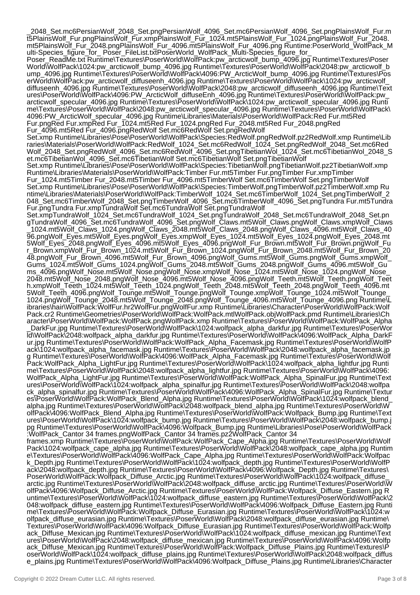\_2048\_Set.mc6PersianWolf\_2048\_Set.pngPersianWolf\_4096\_Set.mc6PersianWolf\_4096\_Set.pngPlainsWolf\_Fur.m t5PlainsWolf\_Fur.pngPlainsWolf\_Fur.xmpPlainsWolf\_Fur\_1024.mt5PlainsWolf\_Fur\_1024.pngPlainsWolf\_Fur\_2048. mt5PlainsWolf\_Fur\_2048.pngPlainsWolf\_Fur\_4096.mt5PlainsWolf\_Fur\_4096.png Runtime:PoserWorld\_WolfPack\_M ulti-Species\_figure\_for\_Poser\_FileList.txtPoserWorld\_WolfPack\_Multi-Species\_figure\_for\_

Poser\_ReadMe.txt Runtime\Textures\PoserWorld\WolfPack:pw\_arcticwolf\_bump\_4096.jpg Runtime\Textures\Poser World\WolfPack\1024:pw\_arcticwolf\_bump\_4096.jpg Runtime\Textures\PoserWorld\WolfPack\2048:pw\_arcticwolf\_b ump\_4096.jpg Runtime\Textures\PoserWorld\WolfPack\4096:PW\_ArcticWolf\_bump\_4096.jpg Runtime\Textures\Pos erWorld\WolfPack:pw\_arcticwolf\_diffuseenh\_4096.jpg Runtime\Textures\PoserWorld\WolfPack\1024:pw\_arcticwolf\_ diffuseenh\_4096.jpg Runtime\Textures\PoserWorld\WolfPack\2048:pw\_arcticwolf\_diffuseenh\_4096.jpg Runtime\Text ures\PoserWorld\WolfPack\4096:PW\_ArcticWolf\_diffuseEnh\_4096.jpg Runtime\Textures\PoserWorld\WolfPack:pw\_ arcticwolf\_specular\_4096.jpg Runtime\Textures\PoserWorld\WolfPack\1024:pw\_arcticwolf\_specular\_4096.jpg Runti me\Textures\PoserWorld\WolfPack\2048:pw\_arcticwolf\_specular\_4096.jpg Runtime\Textures\PoserWorld\WolfPack\ 4096:PW\_ArcticWolf\_specular\_4096.jpg Runtime\Libraries\Materials\PoserWorld\WolfPack:Red Fur.mt5Red Fur.pngRed Fur.xmpRed Fur\_1024.mt5Red Fur\_1024.pngRed Fur\_2048.mt5Red Fur\_2048.pngRed Fur\_4096.mt5Red Fur\_4096.pngRedWolf Set.mc6RedWolf Set.pngRedWolf

Set.xmp Runtime\Libraries\Pose\PoserWorld\WolfPack\Species:RedWolf.pngRedWolf.pz2RedWolf.xmp Runtime\Lib raries\Materials\PoserWorld\WolfPack:RedWolf\_1024\_Set.mc6RedWolf\_1024\_Set.pngRedWolf\_2048\_Set.mc6Red Wolf\_2048\_Set.pngRedWolf\_4096\_Set.mc6RedWolf\_4096\_Set.pngTibetianWol\_1024\_Set.mc6TibetianWol\_2048\_S et.mc6TibetianWol\_4096\_Set.mc6TibetianWolf Set.mc6TibetianWolf Set.pngTibetianWolf

Set.xmp Runtime\Libraries\Pose\PoserWorld\WolfPack\Species:TibetianWolf.pngTibetianWolf.pz2TibetianWolf.xmp Runtime\Libraries\Materials\PoserWorld\WolfPack:Timber Fur.mt5Timber Fur.pngTimber Fur.xmpTimber Fur\_1024.mt5Timber Fur\_2048.mt5Timber Fur\_4096.mt5TimberWolf Set.mc6TimberWolf Set.pngTimberWolf Set.xmp Runtime\Libraries\Pose\PoserWorld\WolfPack\Species:TimberWolf.pngTimberWolf.pz2TimberWolf.xmp Ru ntime\Libraries\Materials\PoserWorld\WolfPack:TimberWolf\_1024\_Set.mc6TimberWolf\_1024\_Set.pngTimberWolf\_2 048\_Set.mc6TimberWolf\_2048\_Set.pngTimberWolf\_4096\_Set.mc6TimberWolf\_4096\_Set.pngTundra Fur.mt5Tundra Fur.pngTundra Fur.xmpTundraWolf Set.mc6TundraWolf Set.pngTundraWolf

Set.xmpTundraWolf\_1024\_Set.mc6TundraWolf\_1024\_Set.pngTundraWolf\_2048\_Set.mc6TundraWolf\_2048\_Set.pn gTundraWolf\_4096\_Set.mc6TundraWolf\_4096\_Set.pngWolf\_Claws.mt5Wolf\_Claws.pngWolf\_Claws.xmpWolf\_Claws \_1024.mt5Wolf\_Claws\_1024.pngWolf\_Claws\_2048.mt5Wolf\_Claws\_2048.pngWolf\_Claws\_4096.mt5Wolf\_Claws\_40 96.pngWolf\_Eyes.mt5Wolf\_Eyes.pngWolf\_Eyes.xmpWolf\_Eyes\_1024.mt5Wolf\_Eyes\_1024.pngWolf\_Eyes\_2048.mt 5Wolf\_Eyes\_2048.pngWolf\_Eyes\_4096.mt5Wolf\_Eyes\_4096.pngWolf\_Fur\_Brown.mt5Wolf\_Fur\_Brown.pngWolf\_Fu r\_Brown.xmpWolf\_Fur\_Brown\_1024.mt5Wolf\_Fur\_Brown\_1024.pngWolf\_Fur\_Brown\_2048.mt5Wolf\_Fur\_Brown\_20 48.pngWolf\_Fur\_Brown\_4096.mt5Wolf\_Fur\_Brown\_4096.pngWolf\_Gums.mt5Wolf\_Gums.pngWolf\_Gums.xmpWolf\_ Gums\_1024.mt5Wolf\_Gums\_1024.pngWolf\_Gums\_2048.mt5Wolf\_Gums\_2048.pngWolf\_Gums\_4096.mt5Wolf\_Gu ms\_4096.pngWolf\_Nose.mt5Wolf\_Nose.pngWolf\_Nose.xmpWolf\_Nose\_1024.mt5Wolf\_Nose\_1024.pngWolf\_Nose\_ 2048.mt5Wolf\_Nose\_2048.pngWolf\_Nose\_4096.mt5Wolf\_Nose\_4096.pngWolf\_Teeth.mt5Wolf\_Teeth.pngWolf\_Teet h.xmpWolf\_Teeth\_1024.mt5Wolf\_Teeth\_1024.pngWolf\_Teeth\_2048.mt5Wolf\_Teeth\_2048.pngWolf\_Teeth\_4096.mt 5Wolf\_Teeth\_4096.pngWolf\_Tounge.mt5Wolf\_Tounge.pngWolf\_Tounge.xmpWolf\_Tounge\_1024.mt5Wolf\_Tounge\_ 1024.pngWolf\_Tounge\_2048.mt5Wolf\_Tounge\_2048.pngWolf\_Tounge\_4096.mt5Wolf\_Tounge\_4096.png Runtime\L ibraries\hair\WolfPack:WolfFur.hr2WolfFur.pngWolfFur.xmp Runtime\Libraries\Character\PoserWorld\WolfPack:Wolf Pack.cr2 Runtime\Geometries\PoserWorld\WolfPack:WolfPack.mtlWolfPack.objWolfPack.pmd Runtime\Libraries\Ch aracter\PoserWorld\WolfPack:WolfPack.pngWolfPack.xmp Runtime\Textures\PoserWorld\WolfPack:WolfPack\_Alpha \_DarkFur.jpg Runtime\Textures\PoserWorld\WolfPack\1024:wolfpack\_alpha\_darkfur.jpg Runtime\Textures\PoserWor ld\WolfPack\2048:wolfpack\_alpha\_darkfur.jpg Runtime\Textures\PoserWorld\WolfPack\4096:WolfPack\_Alpha\_DarkF ur.jpg Runtime\Textures\PoserWorld\WolfPack:WolfPack\_Alpha\_Facemask.jpg Runtime\Textures\PoserWorld\WolfP ack\1024:wolfpack\_alpha\_facemask.jpg Runtime\Textures\PoserWorld\WolfPack\2048:wolfpack\_alpha\_facemask.jp g Runtime\Textures\PoserWorld\WolfPack\4096:WolfPack\_Alpha\_Facemask.jpg Runtime\Textures\PoserWorld\Wolf Pack:WolfPack\_Alpha\_LightFur.jpg Runtime\Textures\PoserWorld\WolfPack\1024:wolfpack\_alpha\_lightfur.jpg Runti me\Textures\PoserWorld\WolfPack\2048:wolfpack\_alpha\_lightfur.jpg Runtime\Textures\PoserWorld\WolfPack\4096: WolfPack\_Alpha\_LightFur.jpg Runtime\Textures\PoserWorld\WolfPack:WolfPack\_Alpha\_SpinalFur.jpg Runtime\Text ures\PoserWorld\WolfPack\1024:wolfpack\_alpha\_spinalfur.jpg Runtime\Textures\PoserWorld\WolfPack\2048:wolfpa ck\_alpha\_spinalfur.jpg Runtime\Textures\PoserWorld\WolfPack\4096:WolfPack\_Alpha\_SpinalFur.jpg Runtime\Textur es\PoserWorld\WolfPack:WolfPack\_Blend\_Alpha.jpg Runtime\Textures\PoserWorld\WolfPack\1024:wolfpack\_blend\_ alpha.jpg Runtime\Textures\PoserWorld\WolfPack\2048:wolfpack\_blend\_alpha.jpg Runtime\Textures\PoserWorld\W olfPack\4096:WolfPack\_Blend\_Alpha.jpg Runtime\Textures\PoserWorld\WolfPack:Wolfpack\_Bump.jpg Runtime\Text ures\PoserWorld\WolfPack\1024:wolfpack\_bump.jpg Runtime\Textures\PoserWorld\WolfPack\2048:wolfpack\_bump.j pg Runtime\Textures\PoserWorld\WolfPack\4096:Wolfpack\_Bump.jpg Runtime\Libraries\Pose\PoserWorld\WolfPack :WolfPack\_Cantor 34 frames.pngWolfPack\_Cantor 34 frames.pz2WolfPack\_Cantor 34 frames.xmp Runtime\Textures\PoserWorld\WolfPack:WolfPack\_Cape\_Alpha.jpg Runtime\Textures\PoserWorld\Wolf Pack\1024:wolfpack\_cape\_alpha.jpg Runtime\Textures\PoserWorld\WolfPack\2048:wolfpack\_cape\_alpha.jpg Runtim e\Textures\PoserWorld\WolfPack\4096:WolfPack\_Cape\_Alpha.jpg Runtime\Textures\PoserWorld\WolfPack:Wolfpac k\_Depth.jpg Runtime\Textures\PoserWorld\WolfPack\1024:wolfpack\_depth.jpg Runtime\Textures\PoserWorld\WolfP ack\2048:wolfpack\_depth.jpg Runtime\Textures\PoserWorld\WolfPack\4096:Wolfpack\_Depth.jpg Runtime\Textures\ PoserWorld\WolfPack:Wolfpack\_Diffuse\_Arctic.jpg Runtime\Textures\PoserWorld\WolfPack\1024:wolfpack\_diffuse\_ arctic.jpg Runtime\Textures\PoserWorld\WolfPack\2048:wolfpack\_diffuse\_arctic.jpg Runtime\Textures\PoserWorld\W olfPack\4096:Wolfpack\_Diffuse\_Arctic.jpg Runtime\Textures\PoserWorld\WolfPack:Wolfpack\_Diffuse\_Eastern.jpg R untime\Textures\PoserWorld\WolfPack\1024:wolfpack\_diffuse\_eastern.jpg Runtime\Textures\PoserWorld\WolfPack\2 048:wolfpack\_diffuse\_eastern.jpg Runtime\Textures\PoserWorld\WolfPack\4096:Wolfpack\_Diffuse\_Eastern.jpg Runti me\Textures\PoserWorld\WolfPack:Wolfpack\_Diffuse\_Eurasian.jpg Runtime\Textures\PoserWorld\WolfPack\1024:w

olfpack\_diffuse\_eurasian.jpg Runtime\Textures\PoserWorld\WolfPack\2048:wolfpack\_diffuse\_eurasian.jpg Runtime\ Textures\PoserWorld\WolfPack\4096:Wolfpack\_Diffuse\_Eurasian.jpg Runtime\Textures\PoserWorld\WolfPack:Wolfp ack\_Diffuse\_Mexican.jpg Runtime\Textures\PoserWorld\WolfPack\1024:wolfpack\_diffuse\_mexican.jpg Runtime\Text ures\PoserWorld\WolfPack\2048:wolfpack\_diffuse\_mexican.jpg Runtime\Textures\PoserWorld\WolfPack\4096:Wolfp ack\_Diffuse\_Mexican.jpg Runtime\Textures\PoserWorld\WolfPack:Wolfpack\_Diffuse\_Plains.jpg Runtime\Textures\P oserWorld\WolfPack\1024:wolfpack\_diffuse\_plains.jpg Runtime\Textures\PoserWorld\WolfPack\2048:wolfpack\_diffus e\_plains.jpg Runtime\Textures\PoserWorld\WolfPack\4096:Wolfpack\_Diffuse\_Plains.jpg Runtime\Libraries\Character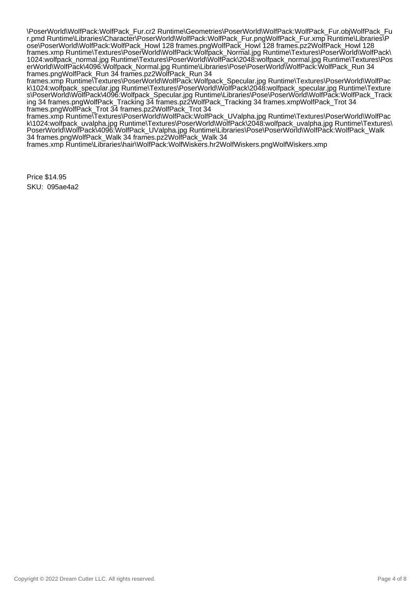\PoserWorld\WolfPack:WolfPack\_Fur.cr2 Runtime\Geometries\PoserWorld\WolfPack:WolfPack\_Fur.objWolfPack\_Fu r.pmd Runtime\Libraries\Character\PoserWorld\WolfPack:WolfPack\_Fur.pngWolfPack\_Fur.xmp Runtime\Libraries\P ose\PoserWorld\WolfPack:WolfPack\_Howl 128 frames.pngWolfPack\_Howl 128 frames.pz2WolfPack\_Howl 128 frames.xmp Runtime\Textures\PoserWorld\WolfPack:Wolfpack\_Normal.jpg Runtime\Textures\PoserWorld\WolfPack\ 1024:wolfpack\_normal.jpg Runtime\Textures\PoserWorld\WolfPack\2048:wolfpack\_normal.jpg Runtime\Textures\Pos erWorld\WolfPack\4096:Wolfpack\_Normal.jpg Runtime\Libraries\Pose\PoserWorld\WolfPack:WolfPack\_Run 34 frames.pngWolfPack\_Run 34 frames.pz2WolfPack\_Run 34

frames.xmp Runtime\Textures\PoserWorld\WolfPack:Wolfpack\_Specular.jpg Runtime\Textures\PoserWorld\WolfPac k\1024:wolfpack\_specular.jpg Runtime\Textures\PoserWorld\WolfPack\2048:wolfpack\_specular.jpg Runtime\Texture s\PoserWorld\WolfPack\4096:Wolfpack\_Specular.jpg Runtime\Libraries\Pose\PoserWorld\WolfPack:WolfPack\_Track ing 34 frames.pngWolfPack\_Tracking 34 frames.pz2WolfPack\_Tracking 34 frames.xmpWolfPack\_Trot 34 frames.pngWolfPack\_Trot 34 frames.pz2WolfPack\_Trot 34

frames.xmp Runtime\Textures\PoserWorld\WolfPack:WolfPack\_UValpha.jpg Runtime\Textures\PoserWorld\WolfPac k\1024:wolfpack\_uvalpha.jpg Runtime\Textures\PoserWorld\WolfPack\2048:wolfpack\_uvalpha.jpg Runtime\Textures\ PoserWorld\WolfPack\4096:WolfPack\_UValpha.jpg Runtime\Libraries\Pose\PoserWorld\WolfPack:WolfPack\_Walk 34 frames.pngWolfPack\_Walk 34 frames.pz2WolfPack\_Walk 34

frames.xmp Runtime\Libraries\hair\WolfPack:WolfWiskers.hr2WolfWiskers.pngWolfWiskers.xmp

Price \$14.95 SKU: 095ae4a2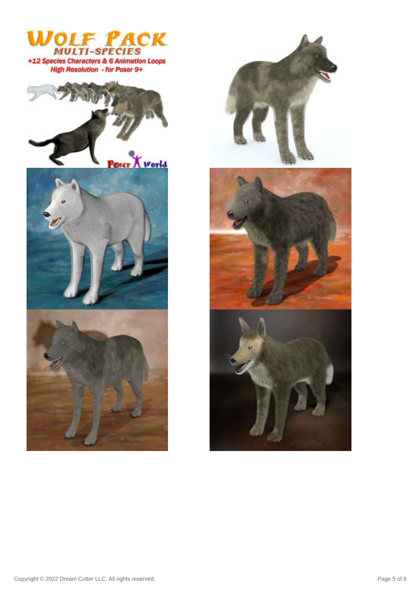









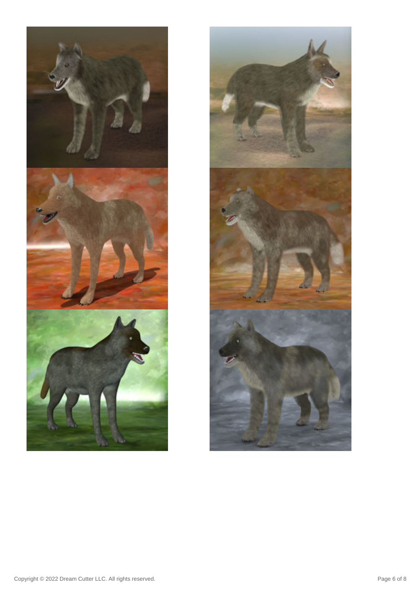